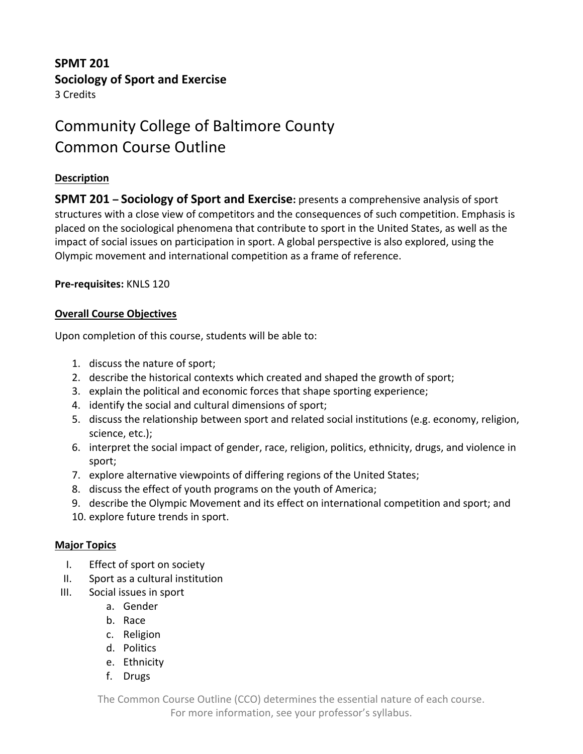# **SPMT 201 Sociology of Sport and Exercise**

3 Credits

# Community College of Baltimore County Common Course Outline

### **Description**

**SPMT 201 – Sociology of Sport and Exercise:** presents a comprehensive analysis of sport structures with a close view of competitors and the consequences of such competition. Emphasis is placed on the sociological phenomena that contribute to sport in the United States, as well as the impact of social issues on participation in sport. A global perspective is also explored, using the Olympic movement and international competition as a frame of reference.

### **Pre-requisites:** KNLS 120

### **Overall Course Objectives**

Upon completion of this course, students will be able to:

- 1. discuss the nature of sport;
- 2. describe the historical contexts which created and shaped the growth of sport;
- 3. explain the political and economic forces that shape sporting experience;
- 4. identify the social and cultural dimensions of sport;
- 5. discuss the relationship between sport and related social institutions (e.g. economy, religion, science, etc.);
- 6. interpret the social impact of gender, race, religion, politics, ethnicity, drugs, and violence in sport;
- 7. explore alternative viewpoints of differing regions of the United States;
- 8. discuss the effect of youth programs on the youth of America;
- 9. describe the Olympic Movement and its effect on international competition and sport; and
- 10. explore future trends in sport.

### **Major Topics**

- I. Effect of sport on society
- II. Sport as a cultural institution
- III. Social issues in sport
	- a. Gender
	- b. Race
	- c. Religion
	- d. Politics
	- e. Ethnicity
	- f. Drugs

The Common Course Outline (CCO) determines the essential nature of each course.

For more information, see your professor's syllabus.